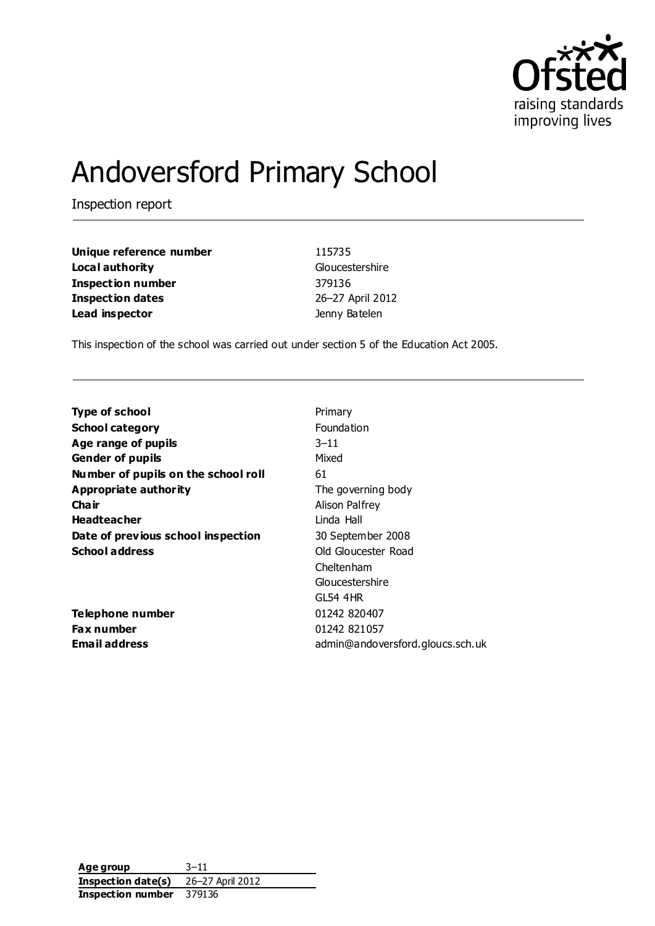

# Andoversford Primary School

Inspection report

| Unique reference number | 115735           |
|-------------------------|------------------|
| Local authority         | Gloucestershire  |
| Inspection number       | 379136           |
| Inspection dates        | 26-27 April 2012 |
| Lead inspector          | Jenny Batelen    |

This inspection of the school was carried out under section 5 of the Education Act 2005.

| <b>Type of school</b>               | Primary                          |
|-------------------------------------|----------------------------------|
| <b>School category</b>              | <b>Foundation</b>                |
| Age range of pupils                 | $3 - 11$                         |
| Gender of pupils                    | Mixed                            |
| Number of pupils on the school roll | 61                               |
| <b>Appropriate authority</b>        | The governing body               |
| Cha ir                              | Alison Palfrey                   |
| <b>Headteacher</b>                  | Linda Hall                       |
| Date of previous school inspection  | 30 September 2008                |
| <b>School address</b>               | Old Gloucester Road              |
|                                     | Cheltenham                       |
|                                     | Gloucestershire                  |
|                                     | GL54 4HR                         |
| Telephone number                    | 01242 820407                     |
| <b>Fax number</b>                   | 01242 821057                     |
| Email address                       | admin@andoversford.gloucs.sch.uk |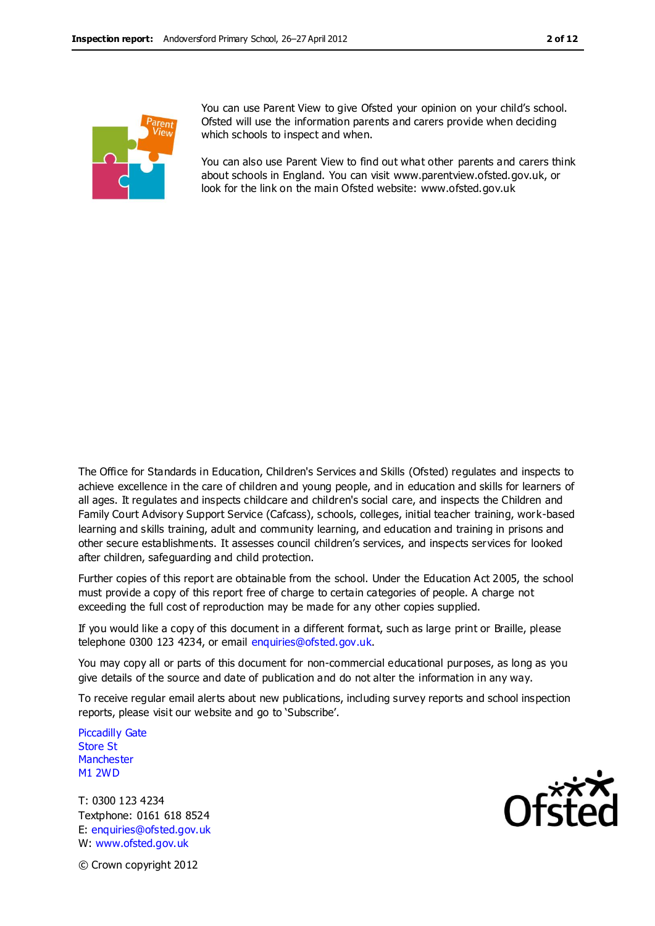

You can use Parent View to give Ofsted your opinion on your child's school. Ofsted will use the information parents and carers provide when deciding which schools to inspect and when.

You can also use Parent View to find out what other parents and carers think about schools in England. You can visit www.parentview.ofsted.gov.uk, or look for the link on the main Ofsted website: www.ofsted.gov.uk

The Office for Standards in Education, Children's Services and Skills (Ofsted) regulates and inspects to achieve excellence in the care of children and young people, and in education and skills for learners of all ages. It regulates and inspects childcare and children's social care, and inspects the Children and Family Court Advisory Support Service (Cafcass), schools, colleges, initial teacher training, work-based learning and skills training, adult and community learning, and education and training in prisons and other secure establishments. It assesses council children's services, and inspects services for looked after children, safeguarding and child protection.

Further copies of this report are obtainable from the school. Under the Education Act 2005, the school must provide a copy of this report free of charge to certain categories of people. A charge not exceeding the full cost of reproduction may be made for any other copies supplied.

If you would like a copy of this document in a different format, such as large print or Braille, please telephone 0300 123 4234, or email enquiries@ofsted.gov.uk.

You may copy all or parts of this document for non-commercial educational purposes, as long as you give details of the source and date of publication and do not alter the information in any way.

To receive regular email alerts about new publications, including survey reports and school inspection reports, please visit our website and go to 'Subscribe'.

Piccadilly Gate Store St **Manchester** M1 2WD

T: 0300 123 4234 Textphone: 0161 618 8524 E: enquiries@ofsted.gov.uk W: www.ofsted.gov.uk



© Crown copyright 2012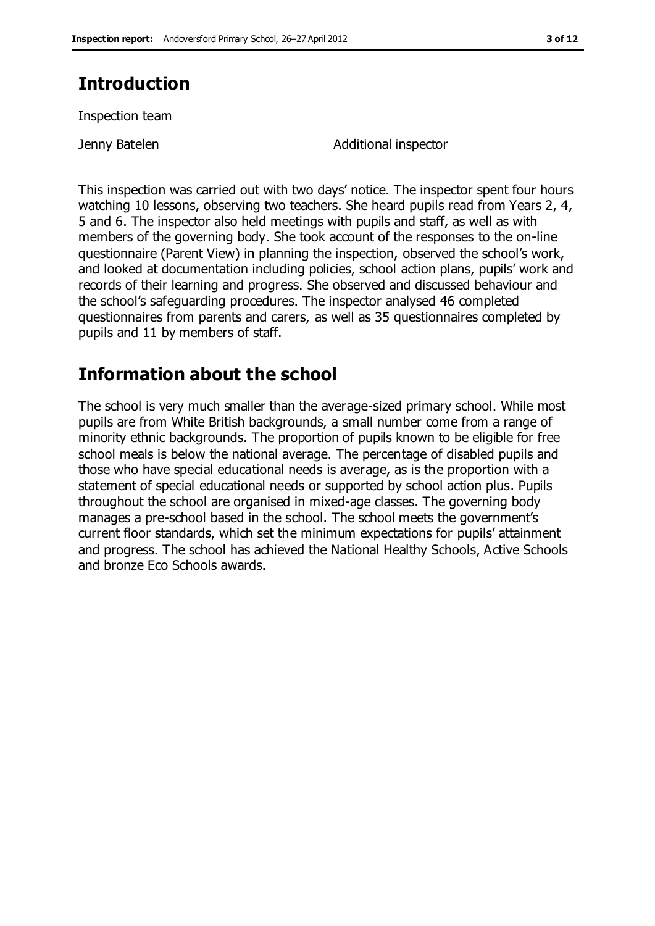## **Introduction**

Inspection team

Jenny Batelen **Additional inspector** 

This inspection was carried out with two days' notice. The inspector spent four hours watching 10 lessons, observing two teachers. She heard pupils read from Years 2, 4, 5 and 6. The inspector also held meetings with pupils and staff, as well as with members of the governing body. She took account of the responses to the on-line questionnaire (Parent View) in planning the inspection, observed the school's work, and looked at documentation including policies, school action plans, pupils' work and records of their learning and progress. She observed and discussed behaviour and the school's safeguarding procedures. The inspector analysed 46 completed questionnaires from parents and carers, as well as 35 questionnaires completed by pupils and 11 by members of staff.

## **Information about the school**

The school is very much smaller than the average-sized primary school. While most pupils are from White British backgrounds, a small number come from a range of minority ethnic backgrounds. The proportion of pupils known to be eligible for free school meals is below the national average. The percentage of disabled pupils and those who have special educational needs is average, as is the proportion with a statement of special educational needs or supported by school action plus. Pupils throughout the school are organised in mixed-age classes. The governing body manages a pre-school based in the school. The school meets the government's current floor standards, which set the minimum expectations for pupils' attainment and progress. The school has achieved the National Healthy Schools, Active Schools and bronze Eco Schools awards.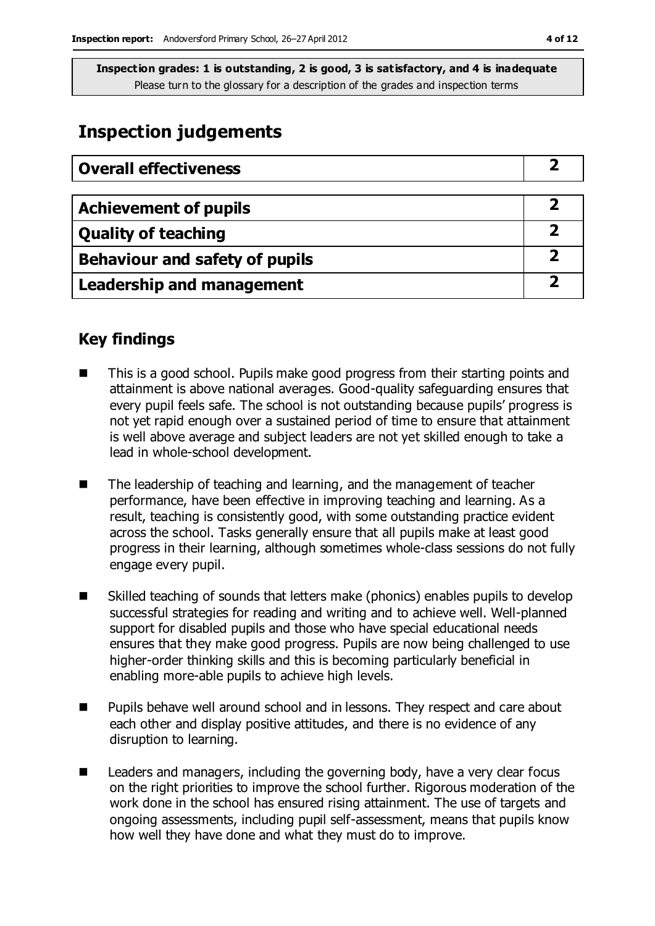## **Inspection judgements**

| <b>Overall effectiveness</b>     |  |
|----------------------------------|--|
|                                  |  |
| <b>Achievement of pupils</b>     |  |
| <b>Quality of teaching</b>       |  |
| Behaviour and safety of pupils   |  |
| <b>Leadership and management</b> |  |

## **Key findings**

- This is a good school. Pupils make good progress from their starting points and attainment is above national averages. Good-quality safeguarding ensures that every pupil feels safe. The school is not outstanding because pupils' progress is not yet rapid enough over a sustained period of time to ensure that attainment is well above average and subject leaders are not yet skilled enough to take a lead in whole-school development.
- The leadership of teaching and learning, and the management of teacher performance, have been effective in improving teaching and learning. As a result, teaching is consistently good, with some outstanding practice evident across the school. Tasks generally ensure that all pupils make at least good progress in their learning, although sometimes whole-class sessions do not fully engage every pupil.
- Skilled teaching of sounds that letters make (phonics) enables pupils to develop successful strategies for reading and writing and to achieve well. Well-planned support for disabled pupils and those who have special educational needs ensures that they make good progress. Pupils are now being challenged to use higher-order thinking skills and this is becoming particularly beneficial in enabling more-able pupils to achieve high levels.
- Pupils behave well around school and in lessons. They respect and care about each other and display positive attitudes, and there is no evidence of any disruption to learning.
- Leaders and managers, including the governing body, have a very clear focus on the right priorities to improve the school further. Rigorous moderation of the work done in the school has ensured rising attainment. The use of targets and ongoing assessments, including pupil self-assessment, means that pupils know how well they have done and what they must do to improve.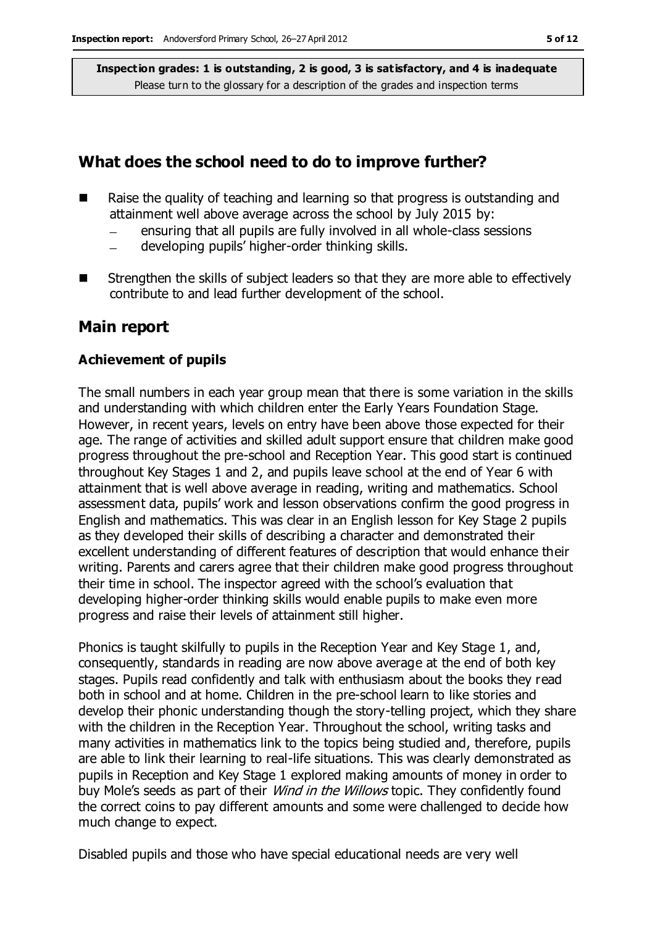## **What does the school need to do to improve further?**

- $\blacksquare$  Raise the quality of teaching and learning so that progress is outstanding and attainment well above average across the school by July 2015 by:
	- ensuring that all pupils are fully involved in all whole-class sessions  $\equiv$
	- developing pupils' higher-order thinking skills.
- Strengthen the skills of subject leaders so that they are more able to effectively contribute to and lead further development of the school.

### **Main report**

#### **Achievement of pupils**

The small numbers in each year group mean that there is some variation in the skills and understanding with which children enter the Early Years Foundation Stage. However, in recent years, levels on entry have been above those expected for their age. The range of activities and skilled adult support ensure that children make good progress throughout the pre-school and Reception Year. This good start is continued throughout Key Stages 1 and 2, and pupils leave school at the end of Year 6 with attainment that is well above average in reading, writing and mathematics. School assessment data, pupils' work and lesson observations confirm the good progress in English and mathematics. This was clear in an English lesson for Key Stage 2 pupils as they developed their skills of describing a character and demonstrated their excellent understanding of different features of description that would enhance their writing. Parents and carers agree that their children make good progress throughout their time in school. The inspector agreed with the school's evaluation that developing higher-order thinking skills would enable pupils to make even more progress and raise their levels of attainment still higher.

Phonics is taught skilfully to pupils in the Reception Year and Key Stage 1, and, consequently, standards in reading are now above average at the end of both key stages. Pupils read confidently and talk with enthusiasm about the books they read both in school and at home. Children in the pre-school learn to like stories and develop their phonic understanding though the story-telling project, which they share with the children in the Reception Year. Throughout the school, writing tasks and many activities in mathematics link to the topics being studied and, therefore, pupils are able to link their learning to real-life situations. This was clearly demonstrated as pupils in Reception and Key Stage 1 explored making amounts of money in order to buy Mole's seeds as part of their *Wind in the Willows* topic. They confidently found the correct coins to pay different amounts and some were challenged to decide how much change to expect.

Disabled pupils and those who have special educational needs are very well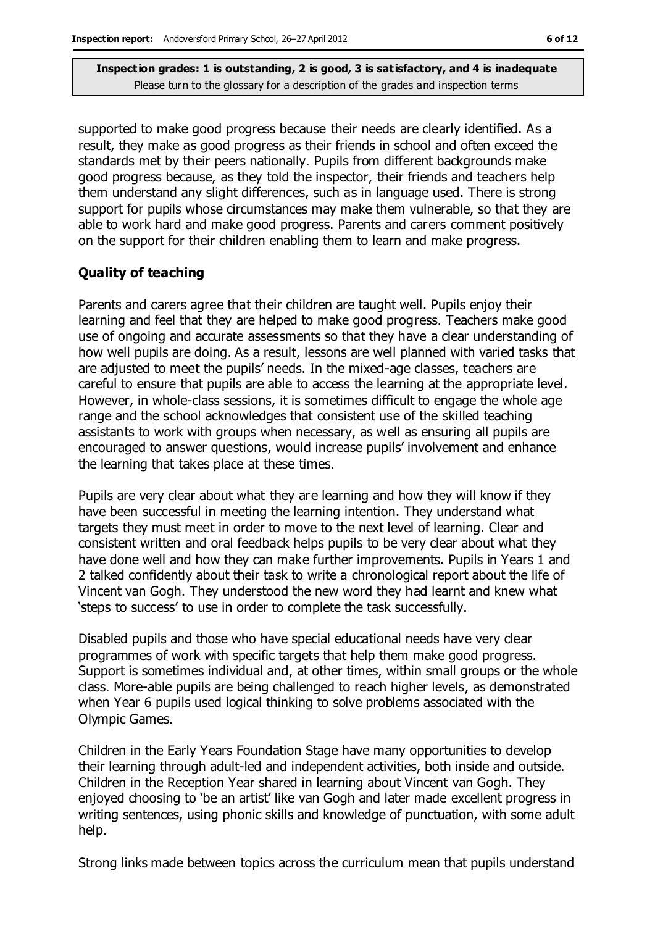supported to make good progress because their needs are clearly identified. As a result, they make as good progress as their friends in school and often exceed the standards met by their peers nationally. Pupils from different backgrounds make good progress because, as they told the inspector, their friends and teachers help them understand any slight differences, such as in language used. There is strong support for pupils whose circumstances may make them vulnerable, so that they are able to work hard and make good progress. Parents and carers comment positively on the support for their children enabling them to learn and make progress.

#### **Quality of teaching**

Parents and carers agree that their children are taught well. Pupils enjoy their learning and feel that they are helped to make good progress. Teachers make good use of ongoing and accurate assessments so that they have a clear understanding of how well pupils are doing. As a result, lessons are well planned with varied tasks that are adjusted to meet the pupils' needs. In the mixed-age classes, teachers are careful to ensure that pupils are able to access the learning at the appropriate level. However, in whole-class sessions, it is sometimes difficult to engage the whole age range and the school acknowledges that consistent use of the skilled teaching assistants to work with groups when necessary, as well as ensuring all pupils are encouraged to answer questions, would increase pupils' involvement and enhance the learning that takes place at these times.

Pupils are very clear about what they are learning and how they will know if they have been successful in meeting the learning intention. They understand what targets they must meet in order to move to the next level of learning. Clear and consistent written and oral feedback helps pupils to be very clear about what they have done well and how they can make further improvements. Pupils in Years 1 and 2 talked confidently about their task to write a chronological report about the life of Vincent van Gogh. They understood the new word they had learnt and knew what 'steps to success' to use in order to complete the task successfully.

Disabled pupils and those who have special educational needs have very clear programmes of work with specific targets that help them make good progress. Support is sometimes individual and, at other times, within small groups or the whole class. More-able pupils are being challenged to reach higher levels, as demonstrated when Year 6 pupils used logical thinking to solve problems associated with the Olympic Games.

Children in the Early Years Foundation Stage have many opportunities to develop their learning through adult-led and independent activities, both inside and outside. Children in the Reception Year shared in learning about Vincent van Gogh. They enjoyed choosing to 'be an artist' like van Gogh and later made excellent progress in writing sentences, using phonic skills and knowledge of punctuation, with some adult help.

Strong links made between topics across the curriculum mean that pupils understand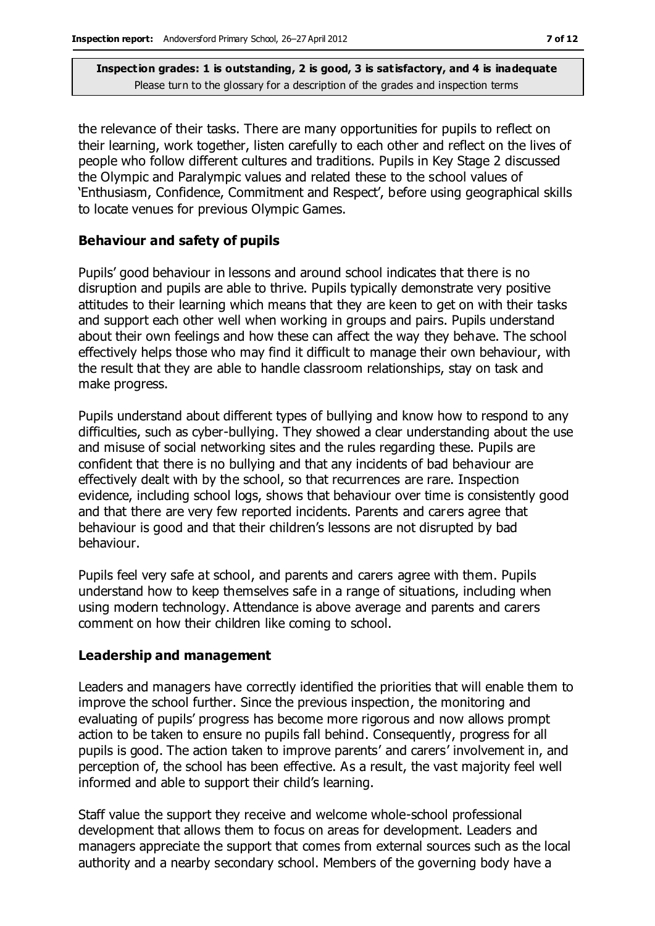the relevance of their tasks. There are many opportunities for pupils to reflect on their learning, work together, listen carefully to each other and reflect on the lives of people who follow different cultures and traditions. Pupils in Key Stage 2 discussed the Olympic and Paralympic values and related these to the school values of 'Enthusiasm, Confidence, Commitment and Respect', before using geographical skills to locate venues for previous Olympic Games.

#### **Behaviour and safety of pupils**

Pupils' good behaviour in lessons and around school indicates that there is no disruption and pupils are able to thrive. Pupils typically demonstrate very positive attitudes to their learning which means that they are keen to get on with their tasks and support each other well when working in groups and pairs. Pupils understand about their own feelings and how these can affect the way they behave. The school effectively helps those who may find it difficult to manage their own behaviour, with the result that they are able to handle classroom relationships, stay on task and make progress.

Pupils understand about different types of bullying and know how to respond to any difficulties, such as cyber-bullying. They showed a clear understanding about the use and misuse of social networking sites and the rules regarding these. Pupils are confident that there is no bullying and that any incidents of bad behaviour are effectively dealt with by the school, so that recurrences are rare. Inspection evidence, including school logs, shows that behaviour over time is consistently good and that there are very few reported incidents. Parents and carers agree that behaviour is good and that their children's lessons are not disrupted by bad behaviour.

Pupils feel very safe at school, and parents and carers agree with them. Pupils understand how to keep themselves safe in a range of situations, including when using modern technology. Attendance is above average and parents and carers comment on how their children like coming to school.

#### **Leadership and management**

Leaders and managers have correctly identified the priorities that will enable them to improve the school further. Since the previous inspection, the monitoring and evaluating of pupils' progress has become more rigorous and now allows prompt action to be taken to ensure no pupils fall behind. Consequently, progress for all pupils is good. The action taken to improve parents' and carers' involvement in, and perception of, the school has been effective. As a result, the vast majority feel well informed and able to support their child's learning.

Staff value the support they receive and welcome whole-school professional development that allows them to focus on areas for development. Leaders and managers appreciate the support that comes from external sources such as the local authority and a nearby secondary school. Members of the governing body have a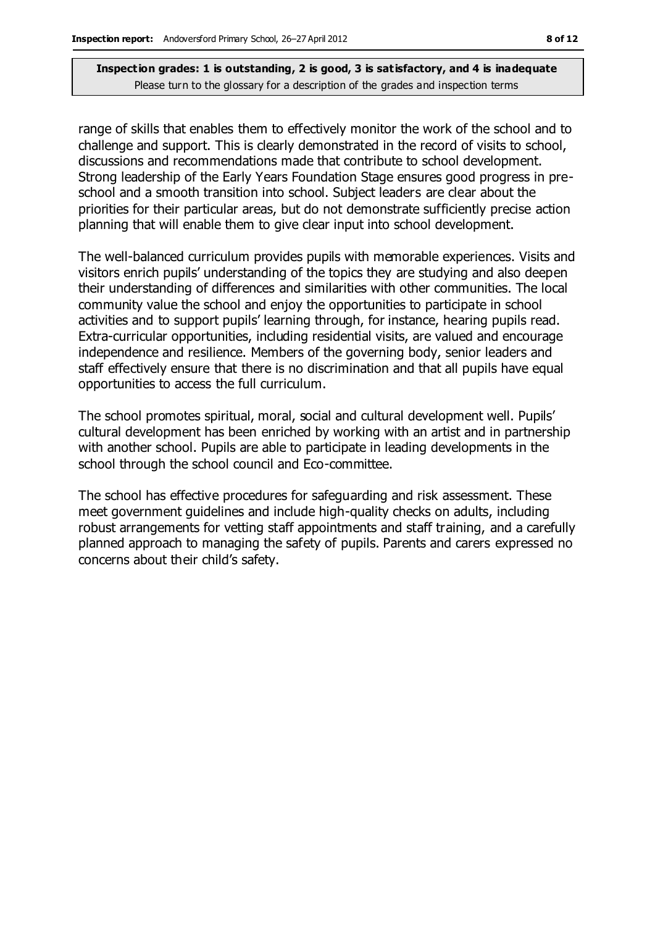range of skills that enables them to effectively monitor the work of the school and to challenge and support. This is clearly demonstrated in the record of visits to school, discussions and recommendations made that contribute to school development. Strong leadership of the Early Years Foundation Stage ensures good progress in preschool and a smooth transition into school. Subject leaders are clear about the priorities for their particular areas, but do not demonstrate sufficiently precise action planning that will enable them to give clear input into school development.

The well-balanced curriculum provides pupils with memorable experiences. Visits and visitors enrich pupils' understanding of the topics they are studying and also deepen their understanding of differences and similarities with other communities. The local community value the school and enjoy the opportunities to participate in school activities and to support pupils' learning through, for instance, hearing pupils read. Extra-curricular opportunities, including residential visits, are valued and encourage independence and resilience. Members of the governing body, senior leaders and staff effectively ensure that there is no discrimination and that all pupils have equal opportunities to access the full curriculum.

The school promotes spiritual, moral, social and cultural development well. Pupils' cultural development has been enriched by working with an artist and in partnership with another school. Pupils are able to participate in leading developments in the school through the school council and Eco-committee.

The school has effective procedures for safeguarding and risk assessment. These meet government guidelines and include high-quality checks on adults, including robust arrangements for vetting staff appointments and staff training, and a carefully planned approach to managing the safety of pupils. Parents and carers expressed no concerns about their child's safety.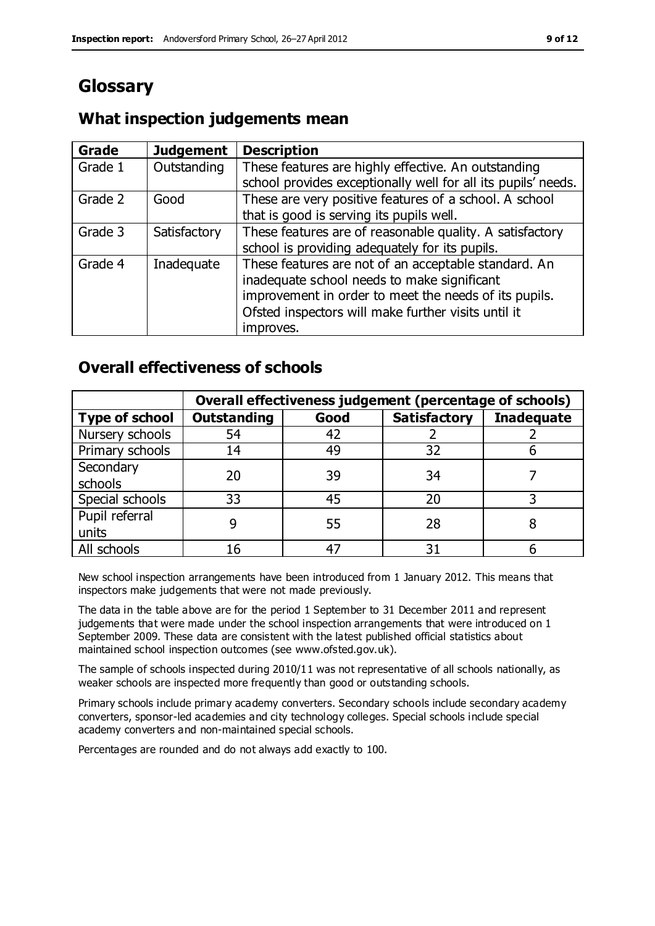# **Glossary**

#### **Grade Judgement Description** Grade  $1$  | Outstanding | These features are highly effective. An outstanding school provides exceptionally well for all its pupils' needs. Grade 2 Good These are very positive features of a school. A school that is good is serving its pupils well. Grade 3  $\parallel$  Satisfactory  $\parallel$  These features are of reasonable quality. A satisfactory school is providing adequately for its pupils. Grade 4  $\parallel$  Inadequate  $\parallel$  These features are not of an acceptable standard. An inadequate school needs to make significant improvement in order to meet the needs of its pupils. Ofsted inspectors will make further visits until it improves.

## **What inspection judgements mean**

## **Overall effectiveness of schools**

|                       | Overall effectiveness judgement (percentage of schools) |      |                     |                   |
|-----------------------|---------------------------------------------------------|------|---------------------|-------------------|
| <b>Type of school</b> | <b>Outstanding</b>                                      | Good | <b>Satisfactory</b> | <b>Inadequate</b> |
| Nursery schools       | 54                                                      | 42   |                     |                   |
| Primary schools       | 14                                                      | 49   | 32                  |                   |
| Secondary             | 20                                                      | 39   | 34                  |                   |
| schools               |                                                         |      |                     |                   |
| Special schools       | 33                                                      | 45   | 20                  |                   |
| Pupil referral        |                                                         | 55   | 28                  |                   |
| units                 |                                                         |      |                     |                   |
| All schools           | 16                                                      | 47   | م -                 |                   |

New school inspection arrangements have been introduced from 1 January 2012. This means that inspectors make judgements that were not made previously.

The data in the table above are for the period 1 September to 31 December 2011 and represent judgements that were made under the school inspection arrangements that were introduced on 1 September 2009. These data are consistent with the latest published official statistics about maintained school inspection outcomes (see www.ofsted.gov.uk).

The sample of schools inspected during 2010/11 was not representative of all schools nationally, as weaker schools are inspected more frequently than good or outstanding schools.

Primary schools include primary academy converters. Secondary schools include secondary academy converters, sponsor-led academies and city technology colleges. Special schools include special academy converters and non-maintained special schools.

Percentages are rounded and do not always add exactly to 100.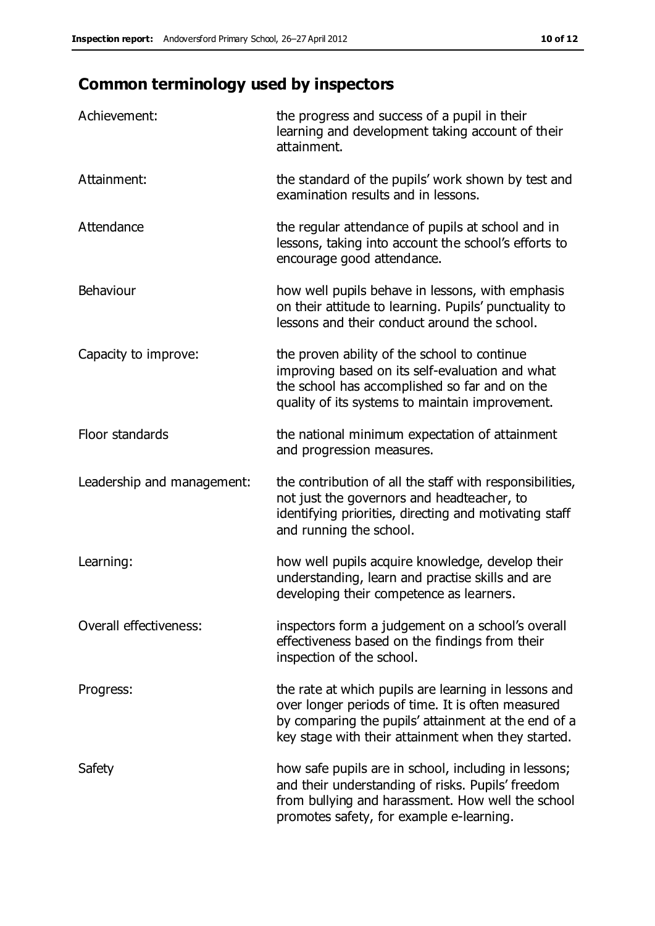# **Common terminology used by inspectors**

| Achievement:                  | the progress and success of a pupil in their<br>learning and development taking account of their<br>attainment.                                                                                                        |
|-------------------------------|------------------------------------------------------------------------------------------------------------------------------------------------------------------------------------------------------------------------|
| Attainment:                   | the standard of the pupils' work shown by test and<br>examination results and in lessons.                                                                                                                              |
| Attendance                    | the regular attendance of pupils at school and in<br>lessons, taking into account the school's efforts to<br>encourage good attendance.                                                                                |
| Behaviour                     | how well pupils behave in lessons, with emphasis<br>on their attitude to learning. Pupils' punctuality to<br>lessons and their conduct around the school.                                                              |
| Capacity to improve:          | the proven ability of the school to continue<br>improving based on its self-evaluation and what<br>the school has accomplished so far and on the<br>quality of its systems to maintain improvement.                    |
| Floor standards               | the national minimum expectation of attainment<br>and progression measures.                                                                                                                                            |
| Leadership and management:    | the contribution of all the staff with responsibilities,<br>not just the governors and headteacher, to<br>identifying priorities, directing and motivating staff<br>and running the school.                            |
| Learning:                     | how well pupils acquire knowledge, develop their<br>understanding, learn and practise skills and are<br>developing their competence as learners.                                                                       |
| <b>Overall effectiveness:</b> | inspectors form a judgement on a school's overall<br>effectiveness based on the findings from their<br>inspection of the school.                                                                                       |
| Progress:                     | the rate at which pupils are learning in lessons and<br>over longer periods of time. It is often measured<br>by comparing the pupils' attainment at the end of a<br>key stage with their attainment when they started. |
| Safety                        | how safe pupils are in school, including in lessons;<br>and their understanding of risks. Pupils' freedom<br>from bullying and harassment. How well the school<br>promotes safety, for example e-learning.             |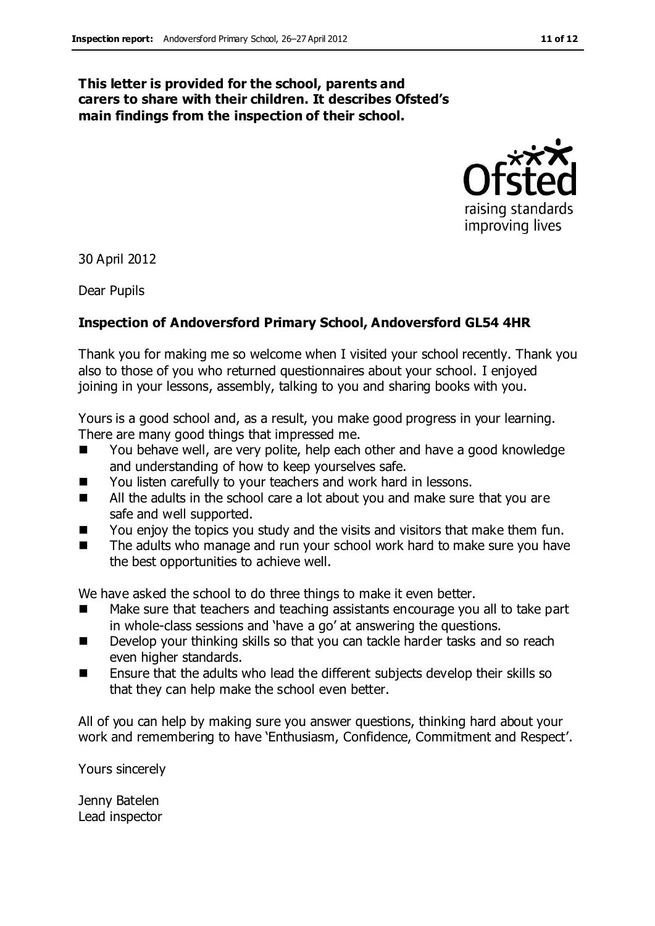#### **This letter is provided for the school, parents and carers to share with their children. It describes Ofsted's main findings from the inspection of their school.**



30 April 2012

Dear Pupils

#### **Inspection of Andoversford Primary School, Andoversford GL54 4HR**

Thank you for making me so welcome when I visited your school recently. Thank you also to those of you who returned questionnaires about your school. I enjoyed joining in your lessons, assembly, talking to you and sharing books with you.

Yours is a good school and, as a result, you make good progress in your learning. There are many good things that impressed me.

- You behave well, are very polite, help each other and have a good knowledge and understanding of how to keep yourselves safe.
- You listen carefully to your teachers and work hard in lessons.
- All the adults in the school care a lot about you and make sure that you are safe and well supported.
- You enjoy the topics you study and the visits and visitors that make them fun.
- The adults who manage and run your school work hard to make sure you have the best opportunities to achieve well.

We have asked the school to do three things to make it even better.

- Make sure that teachers and teaching assistants encourage you all to take part in whole-class sessions and 'have a go' at answering the questions.
- Develop your thinking skills so that you can tackle harder tasks and so reach even higher standards.
- Ensure that the adults who lead the different subjects develop their skills so that they can help make the school even better.

All of you can help by making sure you answer questions, thinking hard about your work and remembering to have 'Enthusiasm, Confidence, Commitment and Respect'.

Yours sincerely

Jenny Batelen Lead inspector